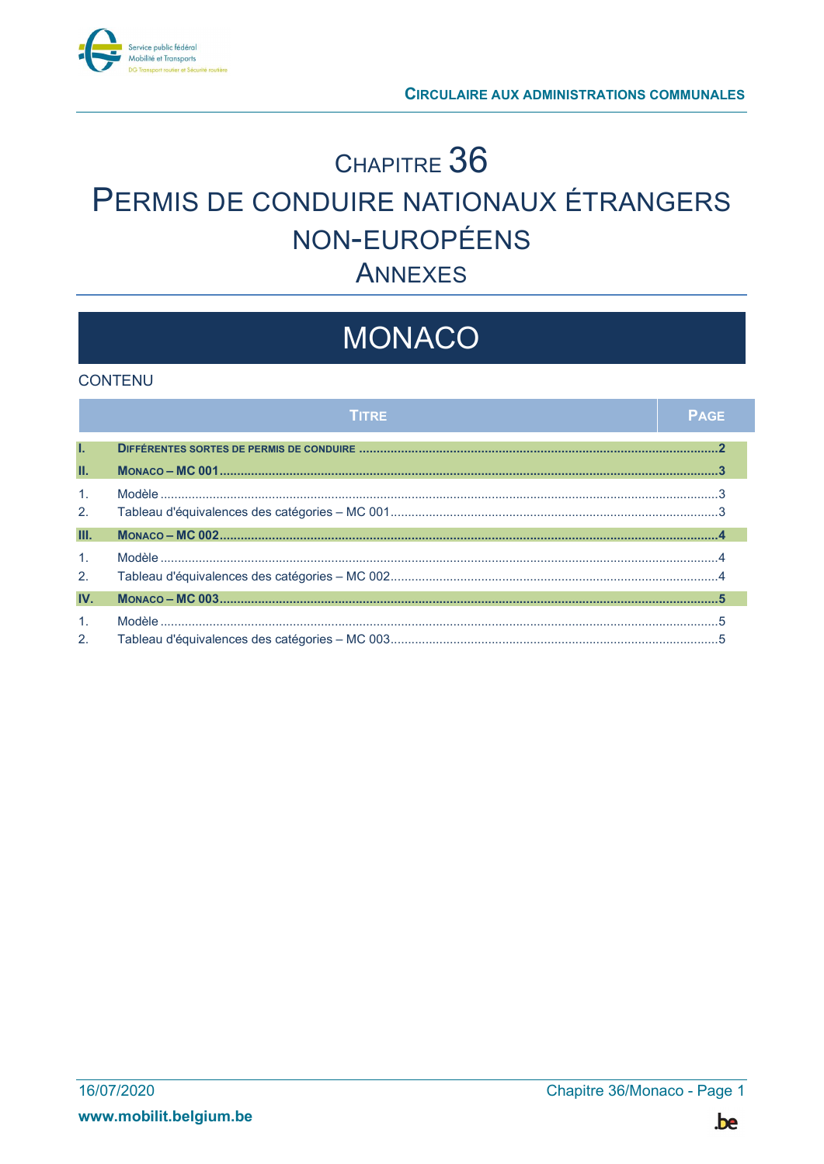

## CHAPITRE 36 PERMIS DE CONDUIRE NATIONAUX ÉTRANGERS NON-EUROPÉENS **ANNEXES**

# MONACO

#### **CONTENU**

|                                  | TITRE | <b>PAGE</b> |
|----------------------------------|-------|-------------|
| T.                               |       |             |
| Ш.                               |       |             |
| $\mathbf{1}$ .<br>2.             |       |             |
| Ш.                               |       |             |
| $\mathbf{1}$ .<br>2.             |       |             |
| IV.                              |       |             |
| $\mathbf{1}$ .<br>2 <sub>1</sub> |       |             |

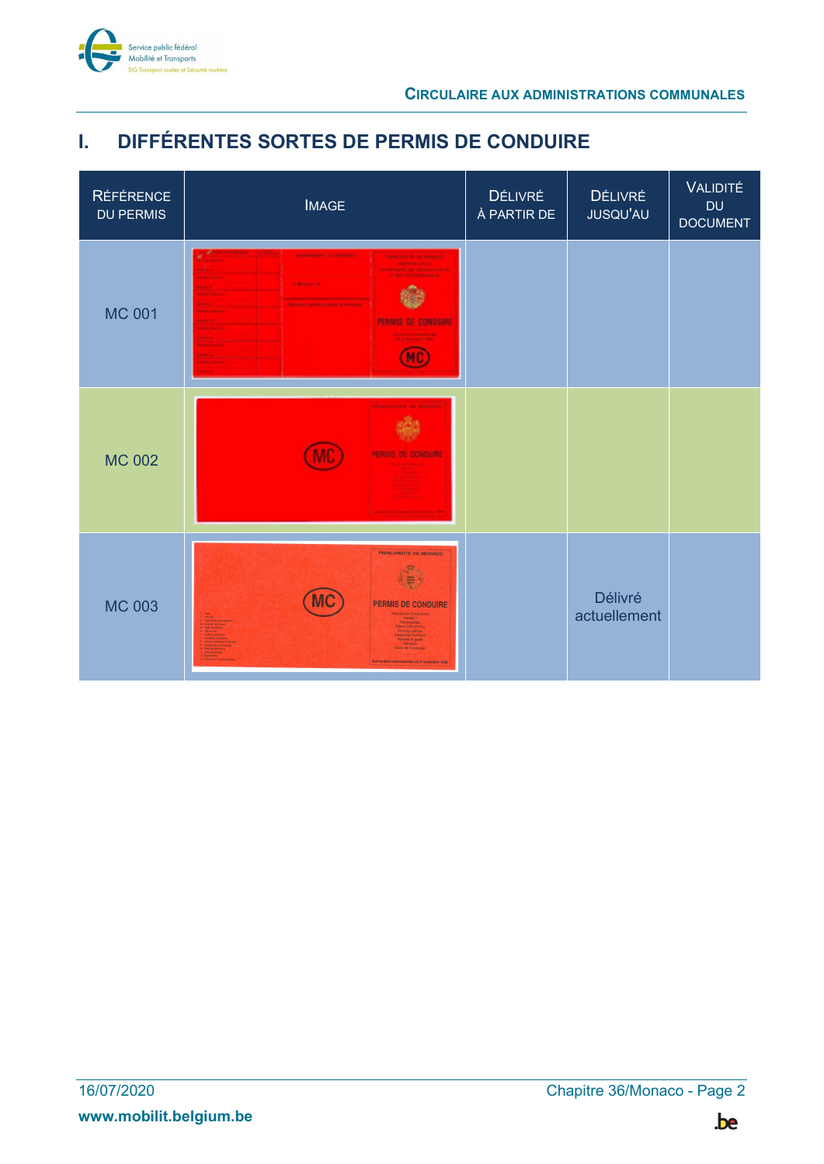

### I. DIFFÉRENTES SORTES DE PERMIS DE CONDUIRE

| <b>RÉFÉRENCE</b><br><b>DU PERMIS</b> | <b>IMAGE</b>                                                                                                                                                                                                         | DÉLIVRÉ<br>À PARTIR DE | DÉLIVRÉ<br>JUSQU'AU            | VALIDITÉ<br><b>DU</b><br><b>DOCUMENT</b> |
|--------------------------------------|----------------------------------------------------------------------------------------------------------------------------------------------------------------------------------------------------------------------|------------------------|--------------------------------|------------------------------------------|
| <b>MC 001</b>                        | <b>CHARTER MORE TAL COMMONS</b><br><b>CONTRACTOR DE RECOR</b><br><b>September 2021</b><br><b>AND SEE TRAINING</b><br><b>Marine W</b><br><b>PERMIS DE CONDUHA</b>                                                     |                        |                                |                                          |
| <b>MC 002</b>                        |                                                                                                                                                                                                                      |                        |                                |                                          |
| <b>MC 003</b>                        | PRINCIPAUTÉ DE MONACO<br>PERMIS DE CONDUIRE<br>fermiso de Conducción<br><b>Driving Licence</b><br>artúnas Tiomán<br>Patente di guida<br>Ricewis<br>Carta de Condução<br>Convention internationale du 8 novembre 1968 |                        | <b>Délivré</b><br>actuellement |                                          |

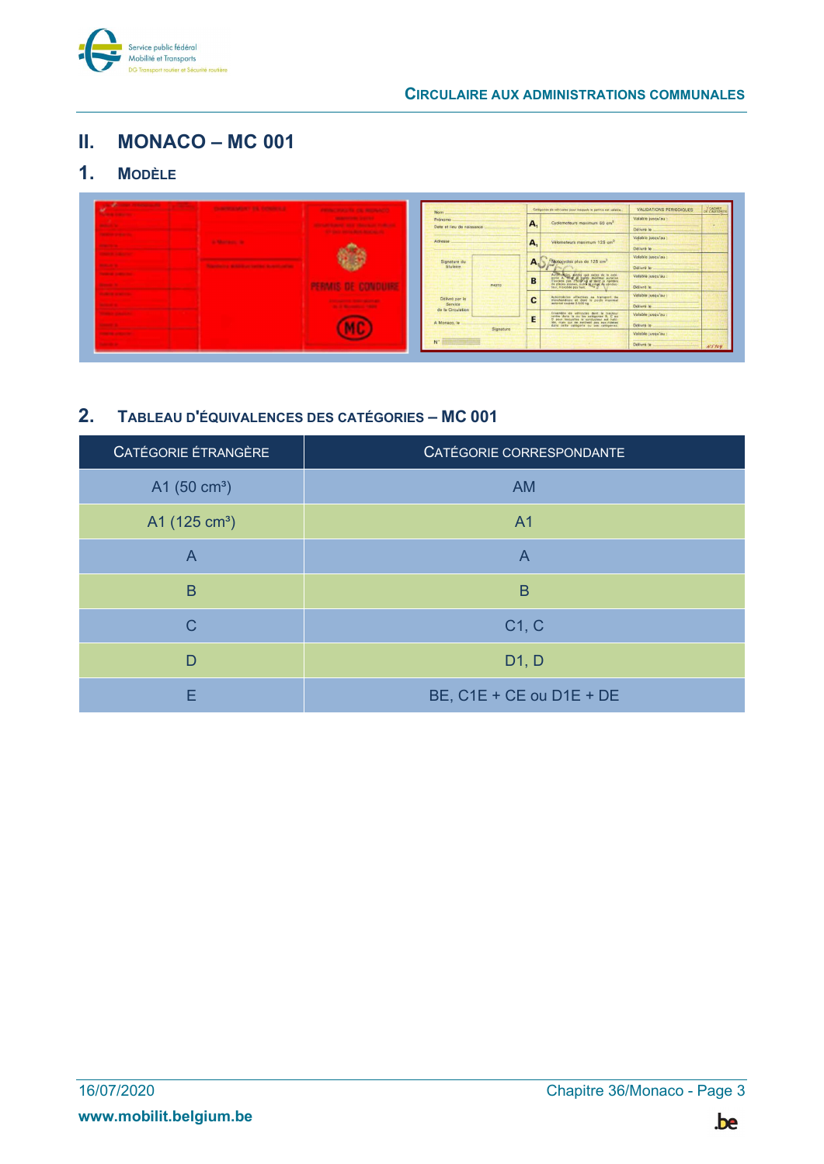

#### II. MONACO – MC 001

#### 1. MODÈLE

|                                                             | <b>Parameter service from Personal and</b> | PRODUCTION AND RESIDENCES.                                                    | <b>Nom</b>                |                                         | Catégories de véhicules pour lesquels le petros est valable                                                                                                                                  | <b>VALIDATIONS PERIODIQUES</b> | OF CACHET |
|-------------------------------------------------------------|--------------------------------------------|-------------------------------------------------------------------------------|---------------------------|-----------------------------------------|----------------------------------------------------------------------------------------------------------------------------------------------------------------------------------------------|--------------------------------|-----------|
| .                                                           |                                            | <b>CONTRACTOR</b> STATES<br>Prénome<br><b>Printed States Printed Consti-</b>  | <b>A.</b>                 | Cyclomoteurs maximum 50 cm <sup>3</sup> | Valable jusqu'au :                                                                                                                                                                           | $\sim$                         |           |
| <b>The Company's Service</b>                                |                                            | <b>Contract Manager Contract Contract</b>                                     | Date et lieu de naissance |                                         |                                                                                                                                                                                              | Délivré le                     |           |
|                                                             | <b>Charles Commercial</b>                  |                                                                               | Adresse                   | A.                                      | Vélomoteurs maximum 125 cm <sup>3</sup>                                                                                                                                                      | Valable jusqu'au :             |           |
| 5                                                           |                                            |                                                                               |                           |                                         |                                                                                                                                                                                              | Délivré le                     |           |
| <b>STATISTICS</b>                                           |                                            |                                                                               | Signature du              | A <sub>n</sub>                          | Motocycles plus de 125 cm <sup>2</sup>                                                                                                                                                       | Valable jusqu'au :             |           |
| . .                                                         | a substance contains to their contact      |                                                                               | titulaire                 |                                         |                                                                                                                                                                                              | Délivré le                     |           |
| <b>CONTRACTOR</b>                                           |                                            |                                                                               |                           | B                                       | Automobile provide une celles de la cate<br>contra de Way A parts maismal contrats par de la cate<br>contrats par Abopting at deat la opation<br>catello par automobile catellate catellate. | Valable jusqu'au :             |           |
|                                                             |                                            |                                                                               | PHOTO                     |                                         |                                                                                                                                                                                              | Délivré le                     |           |
| <b><i><u>Property of the American State Company</u></i></b> |                                            |                                                                               | Délivré par la            | $\overline{ }$                          | Automobiles affectess as transport de                                                                                                                                                        | Valable jusqu'au :             |           |
|                                                             |                                            | <b>Charles Committee Committee Committee</b><br>the of the company's colonial | Service                   | c                                       | marchandists at deat is poids maximal                                                                                                                                                        | Délivré le                     |           |
| ----                                                        |                                            |                                                                               | de la Circulation         | E                                       | Ensemble de véhicules dant le tracteur<br>rentre dans le ce les catégories B, C ce<br>0 pour lesquelles le conducteur est habi-                                                              | Valable jusqu'au :             |           |
| ---                                                         |                                            |                                                                               | A Monaco, le              |                                         | lies, mais qui se rentreat pas eux-mêmes<br>dans cette catégorie ou zes catégories.                                                                                                          | Délivré le                     |           |
|                                                             |                                            |                                                                               | Signature                 |                                         |                                                                                                                                                                                              | Valable jusqu'au :             |           |
|                                                             |                                            |                                                                               | $N^*$                     |                                         |                                                                                                                                                                                              | Délivré le                     | N5104     |

#### 2. TABLEAU D'ÉQUIVALENCES DES CATÉGORIES – MC 001

| CATÉGORIE ETRANGÈRE     | CATÉGORIE CORRESPONDANTE |
|-------------------------|--------------------------|
| A1 $(50 \text{ cm}^3)$  | <b>AM</b>                |
| A1 $(125 \text{ cm}^3)$ | A <sub>1</sub>           |
| $\overline{A}$          | A                        |
| B                       | B                        |
| C                       | C1, C                    |
| D                       | D1, D                    |
| F                       | BE, C1E + CE ou D1E + DE |

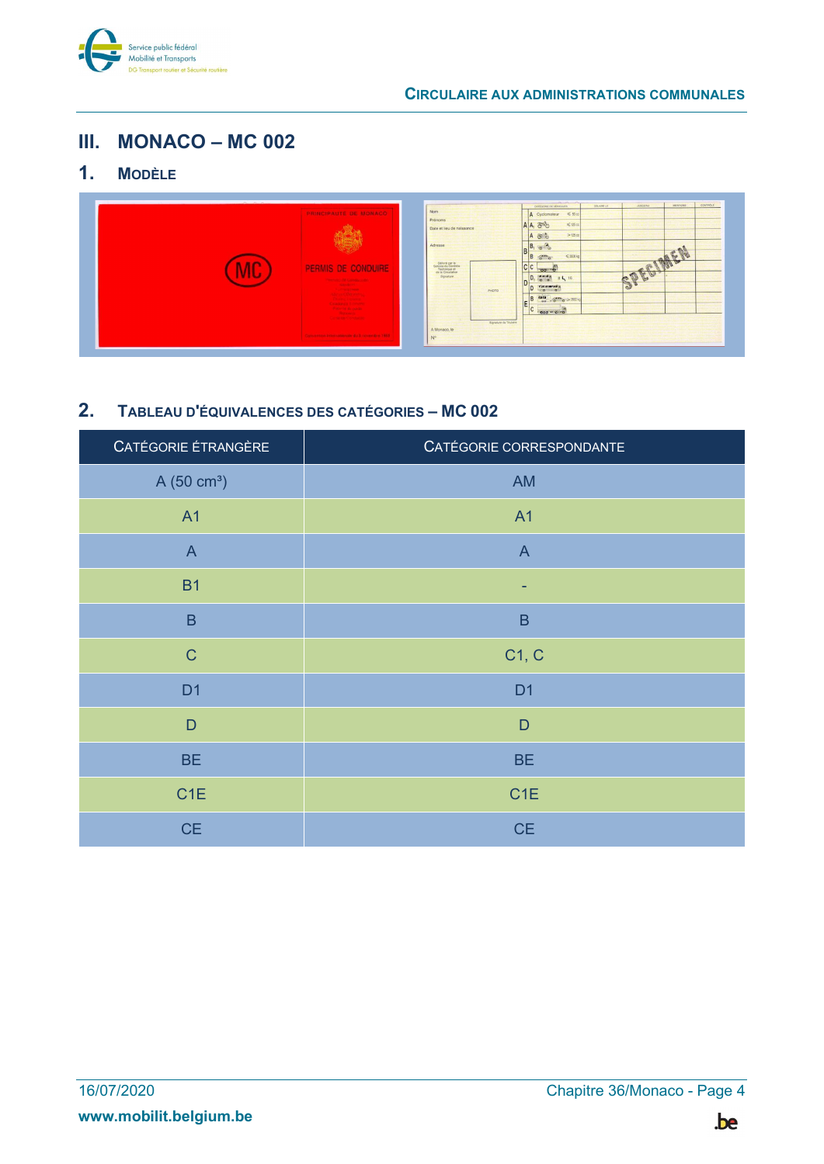

#### III. MONACO – MC 002

### 1. MODÈLE



#### 2. TABLEAU D'ÉQUIVALENCES DES CATÉGORIES – MC 002

| CATÉGORIE ÉTRANGÈRE    | CATÉGORIE CORRESPONDANTE |
|------------------------|--------------------------|
| A(50 cm <sup>3</sup> ) | AM                       |
| <b>A1</b>              | A1                       |
| $\overline{A}$         | $\mathsf{A}$             |
| <b>B1</b>              | ٠                        |
| $\sf B$                | $\sf B$                  |
| $\mathsf{C}$           | C1, C                    |
| D <sub>1</sub>         | D <sub>1</sub>           |
| $\mathsf{D}$           | $\mathsf D$              |
| <b>BE</b>              | <b>BE</b>                |
| C <sub>1</sub> E       | C <sub>1</sub> E         |
| <b>CE</b>              | CE                       |